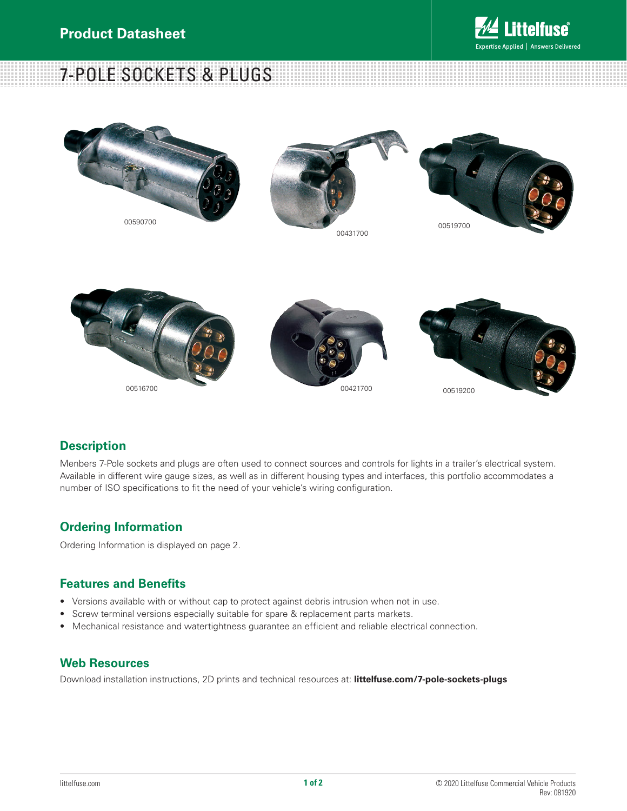# elfuse Expertise Applied | Answers Delivered

7-POLE SOCKETS & PLUGS





# **Description**

Menbers 7-Pole sockets and plugs are often used to connect sources and controls for lights in a trailer's electrical system. Available in different wire gauge sizes, as well as in different housing types and interfaces, this portfolio accommodates a number of ISO specifications to fit the need of your vehicle's wiring configuration.

# **Ordering Information**

Ordering Information is displayed on page 2.

### **Features and Benefits**

- Versions available with or without cap to protect against debris intrusion when not in use.
- Screw terminal versions especially suitable for spare & replacement parts markets.
- Mechanical resistance and watertightness guarantee an efficient and reliable electrical connection.

### **Web Resources**

Download installation instructions, 2D prints and technical resources at: **littelfuse.com/7-pole-sockets-plugs**